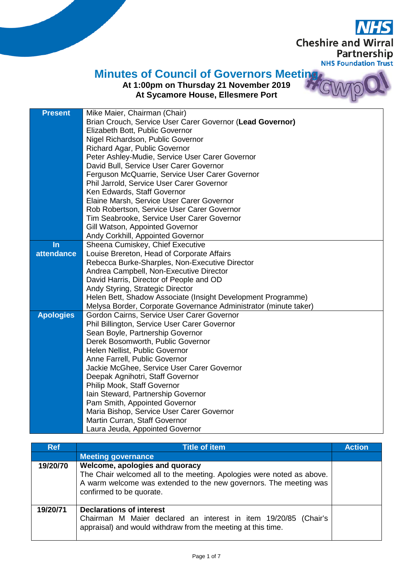**Cheshire and Wirral** Partnership **NHS Foundation Trust** 

## **Minutes of Council of Governors Meeting**

## **At 1:00pm on Thursday 21 November 2019 At Sycamore House, Ellesmere Port**

| <b>Present</b>   | Mike Maier, Chairman (Chair)                                     |
|------------------|------------------------------------------------------------------|
|                  | Brian Crouch, Service User Carer Governor (Lead Governor)        |
|                  | Elizabeth Bott, Public Governor                                  |
|                  | Nigel Richardson, Public Governor                                |
|                  | Richard Agar, Public Governor                                    |
|                  | Peter Ashley-Mudie, Service User Carer Governor                  |
|                  | David Bull, Service User Carer Governor                          |
|                  | Ferguson McQuarrie, Service User Carer Governor                  |
|                  | Phil Jarrold, Service User Carer Governor                        |
|                  | Ken Edwards, Staff Governor                                      |
|                  | Elaine Marsh, Service User Carer Governor                        |
|                  | Rob Robertson, Service User Carer Governor                       |
|                  | Tim Seabrooke, Service User Carer Governor                       |
|                  | Gill Watson, Appointed Governor                                  |
|                  | Andy Corkhill, Appointed Governor                                |
| In               | Sheena Cumiskey, Chief Executive                                 |
| attendance       | Louise Brereton, Head of Corporate Affairs                       |
|                  | Rebecca Burke-Sharples, Non-Executive Director                   |
|                  | Andrea Campbell, Non-Executive Director                          |
|                  | David Harris, Director of People and OD                          |
|                  | Andy Styring, Strategic Director                                 |
|                  | Helen Bett, Shadow Associate (Insight Development Programme)     |
|                  | Melysa Border, Corporate Governance Administrator (minute taker) |
| <b>Apologies</b> | Gordon Cairns, Service User Carer Governor                       |
|                  | Phil Billington, Service User Carer Governor                     |
|                  | Sean Boyle, Partnership Governor                                 |
|                  | Derek Bosomworth, Public Governor                                |
|                  | Helen Nellist, Public Governor<br>Anne Farrell, Public Governor  |
|                  | Jackie McGhee, Service User Carer Governor                       |
|                  | Deepak Agnihotri, Staff Governor                                 |
|                  | Philip Mook, Staff Governor                                      |
|                  | Iain Steward, Partnership Governor                               |
|                  | Pam Smith, Appointed Governor                                    |
|                  | Maria Bishop, Service User Carer Governor                        |
|                  | Martin Curran, Staff Governor                                    |
|                  | Laura Jeuda, Appointed Governor                                  |

| <b>Ref</b> | <b>Title of item</b>                                                                                                                                                                                     | <b>Action</b> |
|------------|----------------------------------------------------------------------------------------------------------------------------------------------------------------------------------------------------------|---------------|
|            | Meeting governance                                                                                                                                                                                       |               |
| 19/20/70   | Welcome, apologies and quoracy<br>The Chair welcomed all to the meeting. Apologies were noted as above.<br>A warm welcome was extended to the new governors. The meeting was<br>confirmed to be quorate. |               |
| 19/20/71   | <b>Declarations of interest</b><br>Chairman M Maier declared an interest in item 19/20/85 (Chair's<br>appraisal) and would withdraw from the meeting at this time.                                       |               |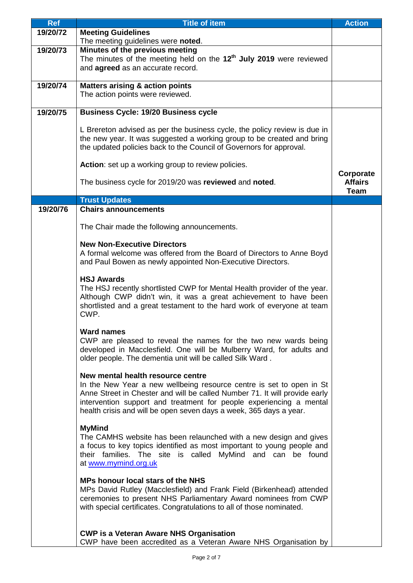| <b>Ref</b> | <b>Title of item</b>                                                                                                                                                                                                                                                                                                                 | <b>Action</b>                              |
|------------|--------------------------------------------------------------------------------------------------------------------------------------------------------------------------------------------------------------------------------------------------------------------------------------------------------------------------------------|--------------------------------------------|
| 19/20/72   | <b>Meeting Guidelines</b><br>The meeting guidelines were noted.                                                                                                                                                                                                                                                                      |                                            |
| 19/20/73   | Minutes of the previous meeting                                                                                                                                                                                                                                                                                                      |                                            |
|            | The minutes of the meeting held on the 12 <sup>th</sup> July 2019 were reviewed<br>and agreed as an accurate record.                                                                                                                                                                                                                 |                                            |
| 19/20/74   | <b>Matters arising &amp; action points</b>                                                                                                                                                                                                                                                                                           |                                            |
|            | The action points were reviewed.                                                                                                                                                                                                                                                                                                     |                                            |
| 19/20/75   | <b>Business Cycle: 19/20 Business cycle</b>                                                                                                                                                                                                                                                                                          |                                            |
|            | L Brereton advised as per the business cycle, the policy review is due in<br>the new year. It was suggested a working group to be created and bring<br>the updated policies back to the Council of Governors for approval.                                                                                                           |                                            |
|            | Action: set up a working group to review policies.                                                                                                                                                                                                                                                                                   |                                            |
|            | The business cycle for 2019/20 was reviewed and noted.                                                                                                                                                                                                                                                                               | Corporate<br><b>Affairs</b><br><b>Team</b> |
|            | <b>Trust Updates</b>                                                                                                                                                                                                                                                                                                                 |                                            |
| 19/20/76   | <b>Chairs announcements</b>                                                                                                                                                                                                                                                                                                          |                                            |
|            | The Chair made the following announcements.                                                                                                                                                                                                                                                                                          |                                            |
|            | <b>New Non-Executive Directors</b><br>A formal welcome was offered from the Board of Directors to Anne Boyd                                                                                                                                                                                                                          |                                            |
|            | and Paul Bowen as newly appointed Non-Executive Directors.                                                                                                                                                                                                                                                                           |                                            |
|            | <b>HSJ Awards</b><br>The HSJ recently shortlisted CWP for Mental Health provider of the year.<br>Although CWP didn't win, it was a great achievement to have been<br>shortlisted and a great testament to the hard work of everyone at team<br>CWP.                                                                                  |                                            |
|            | <b>Ward names</b><br>CWP are pleased to reveal the names for the two new wards being<br>developed in Macclesfield. One will be Mulberry Ward, for adults and<br>older people. The dementia unit will be called Silk Ward.                                                                                                            |                                            |
|            | New mental health resource centre<br>In the New Year a new wellbeing resource centre is set to open in St<br>Anne Street in Chester and will be called Number 71. It will provide early<br>intervention support and treatment for people experiencing a mental<br>health crisis and will be open seven days a week, 365 days a year. |                                            |
|            | <b>MyMind</b><br>The CAMHS website has been relaunched with a new design and gives<br>a focus to key topics identified as most important to young people and<br>their families. The site is called MyMind and can be found<br>at www.mymind.org.uk                                                                                   |                                            |
|            | <b>MPs honour local stars of the NHS</b><br>MPs David Rutley (Macclesfield) and Frank Field (Birkenhead) attended<br>ceremonies to present NHS Parliamentary Award nominees from CWP<br>with special certificates. Congratulations to all of those nominated.                                                                        |                                            |
|            | <b>CWP is a Veteran Aware NHS Organisation</b><br>CWP have been accredited as a Veteran Aware NHS Organisation by                                                                                                                                                                                                                    |                                            |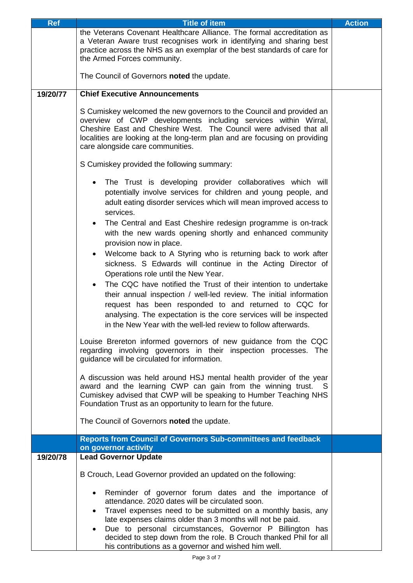| <b>Ref</b> | <b>Title of item</b>                                                                                                                                                                                                                                                                                                                                                                               | <b>Action</b> |
|------------|----------------------------------------------------------------------------------------------------------------------------------------------------------------------------------------------------------------------------------------------------------------------------------------------------------------------------------------------------------------------------------------------------|---------------|
|            | the Veterans Covenant Healthcare Alliance. The formal accreditation as<br>a Veteran Aware trust recognises work in identifying and sharing best<br>practice across the NHS as an exemplar of the best standards of care for<br>the Armed Forces community.                                                                                                                                         |               |
|            | The Council of Governors noted the update.                                                                                                                                                                                                                                                                                                                                                         |               |
| 19/20/77   | <b>Chief Executive Announcements</b>                                                                                                                                                                                                                                                                                                                                                               |               |
|            | S Cumiskey welcomed the new governors to the Council and provided an<br>overview of CWP developments including services within Wirral,<br>Cheshire East and Cheshire West. The Council were advised that all<br>localities are looking at the long-term plan and are focusing on providing<br>care alongside care communities.                                                                     |               |
|            | S Cumiskey provided the following summary:                                                                                                                                                                                                                                                                                                                                                         |               |
|            | The Trust is developing provider collaboratives which will<br>potentially involve services for children and young people, and<br>adult eating disorder services which will mean improved access to<br>services.                                                                                                                                                                                    |               |
|            | The Central and East Cheshire redesign programme is on-track<br>$\bullet$<br>with the new wards opening shortly and enhanced community<br>provision now in place.                                                                                                                                                                                                                                  |               |
|            | Welcome back to A Styring who is returning back to work after<br>٠<br>sickness. S Edwards will continue in the Acting Director of<br>Operations role until the New Year.<br>The CQC have notified the Trust of their intention to undertake<br>$\bullet$                                                                                                                                           |               |
|            | their annual inspection / well-led review. The initial information<br>request has been responded to and returned to CQC for<br>analysing. The expectation is the core services will be inspected<br>in the New Year with the well-led review to follow afterwards.                                                                                                                                 |               |
|            | Louise Brereton informed governors of new guidance from the CQC<br>regarding involving governors in their inspection processes. The<br>guidance will be circulated for information.                                                                                                                                                                                                                |               |
|            | A discussion was held around HSJ mental health provider of the year<br>award and the learning CWP can gain from the winning trust. S<br>Cumiskey advised that CWP will be speaking to Humber Teaching NHS<br>Foundation Trust as an opportunity to learn for the future.                                                                                                                           |               |
|            | The Council of Governors noted the update.                                                                                                                                                                                                                                                                                                                                                         |               |
|            | <b>Reports from Council of Governors Sub-committees and feedback</b><br>on governor activity                                                                                                                                                                                                                                                                                                       |               |
| 19/20/78   | <b>Lead Governor Update</b>                                                                                                                                                                                                                                                                                                                                                                        |               |
|            | B Crouch, Lead Governor provided an updated on the following:                                                                                                                                                                                                                                                                                                                                      |               |
|            | Reminder of governor forum dates and the importance of<br>$\bullet$<br>attendance. 2020 dates will be circulated soon.<br>Travel expenses need to be submitted on a monthly basis, any<br>$\bullet$<br>late expenses claims older than 3 months will not be paid.<br>Due to personal circumstances, Governor P Billington has<br>decided to step down from the role. B Crouch thanked Phil for all |               |
|            | his contributions as a governor and wished him well.                                                                                                                                                                                                                                                                                                                                               |               |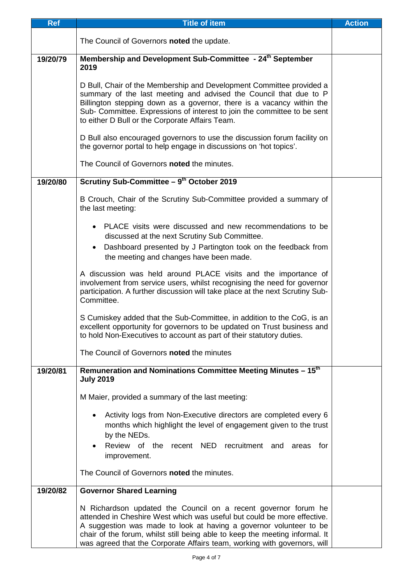| <b>Ref</b> | <b>Title of item</b>                                                                                                                                                                                                                                                                                                                                                        | <b>Action</b> |
|------------|-----------------------------------------------------------------------------------------------------------------------------------------------------------------------------------------------------------------------------------------------------------------------------------------------------------------------------------------------------------------------------|---------------|
|            | The Council of Governors noted the update.                                                                                                                                                                                                                                                                                                                                  |               |
| 19/20/79   | Membership and Development Sub-Committee - 24 <sup>th</sup> September<br>2019                                                                                                                                                                                                                                                                                               |               |
|            | D Bull, Chair of the Membership and Development Committee provided a<br>summary of the last meeting and advised the Council that due to P<br>Billington stepping down as a governor, there is a vacancy within the<br>Sub- Committee. Expressions of interest to join the committee to be sent<br>to either D Bull or the Corporate Affairs Team.                           |               |
|            | D Bull also encouraged governors to use the discussion forum facility on<br>the governor portal to help engage in discussions on 'hot topics'.                                                                                                                                                                                                                              |               |
|            | The Council of Governors noted the minutes.                                                                                                                                                                                                                                                                                                                                 |               |
| 19/20/80   | Scrutiny Sub-Committee - 9th October 2019                                                                                                                                                                                                                                                                                                                                   |               |
|            | B Crouch, Chair of the Scrutiny Sub-Committee provided a summary of<br>the last meeting:                                                                                                                                                                                                                                                                                    |               |
|            | PLACE visits were discussed and new recommendations to be<br>discussed at the next Scrutiny Sub Committee.<br>Dashboard presented by J Partington took on the feedback from<br>the meeting and changes have been made.                                                                                                                                                      |               |
|            | A discussion was held around PLACE visits and the importance of<br>involvement from service users, whilst recognising the need for governor<br>participation. A further discussion will take place at the next Scrutiny Sub-<br>Committee.                                                                                                                                  |               |
|            | S Cumiskey added that the Sub-Committee, in addition to the CoG, is an<br>excellent opportunity for governors to be updated on Trust business and<br>to hold Non-Executives to account as part of their statutory duties.                                                                                                                                                   |               |
|            | The Council of Governors noted the minutes                                                                                                                                                                                                                                                                                                                                  |               |
| 19/20/81   | Remuneration and Nominations Committee Meeting Minutes - 15 <sup>th</sup><br><b>July 2019</b>                                                                                                                                                                                                                                                                               |               |
|            | M Maier, provided a summary of the last meeting:                                                                                                                                                                                                                                                                                                                            |               |
|            | Activity logs from Non-Executive directors are completed every 6<br>$\bullet$<br>months which highlight the level of engagement given to the trust<br>by the NEDs.<br>Review of the recent NED recruitment and areas for<br>improvement.                                                                                                                                    |               |
|            | The Council of Governors noted the minutes.                                                                                                                                                                                                                                                                                                                                 |               |
| 19/20/82   | <b>Governor Shared Learning</b>                                                                                                                                                                                                                                                                                                                                             |               |
|            | N Richardson updated the Council on a recent governor forum he<br>attended in Cheshire West which was useful but could be more effective.<br>A suggestion was made to look at having a governor volunteer to be<br>chair of the forum, whilst still being able to keep the meeting informal. It<br>was agreed that the Corporate Affairs team, working with governors, will |               |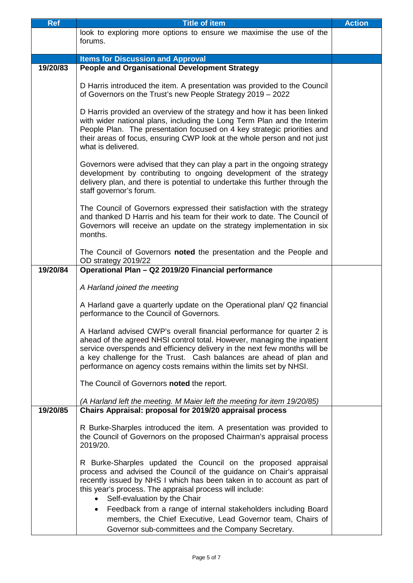| Ref      | <b>Title of item</b>                                                                                                                                                                                                                                                                                                                                                                                                                                                                                             | <b>Action</b> |
|----------|------------------------------------------------------------------------------------------------------------------------------------------------------------------------------------------------------------------------------------------------------------------------------------------------------------------------------------------------------------------------------------------------------------------------------------------------------------------------------------------------------------------|---------------|
|          | look to exploring more options to ensure we maximise the use of the                                                                                                                                                                                                                                                                                                                                                                                                                                              |               |
|          | forums.                                                                                                                                                                                                                                                                                                                                                                                                                                                                                                          |               |
|          |                                                                                                                                                                                                                                                                                                                                                                                                                                                                                                                  |               |
|          | <b>Items for Discussion and Approval</b>                                                                                                                                                                                                                                                                                                                                                                                                                                                                         |               |
| 19/20/83 | <b>People and Organisational Development Strategy</b>                                                                                                                                                                                                                                                                                                                                                                                                                                                            |               |
|          | D Harris introduced the item. A presentation was provided to the Council<br>of Governors on the Trust's new People Strategy 2019 - 2022                                                                                                                                                                                                                                                                                                                                                                          |               |
|          | D Harris provided an overview of the strategy and how it has been linked<br>with wider national plans, including the Long Term Plan and the Interim<br>People Plan. The presentation focused on 4 key strategic priorities and<br>their areas of focus, ensuring CWP look at the whole person and not just<br>what is delivered.                                                                                                                                                                                 |               |
|          | Governors were advised that they can play a part in the ongoing strategy<br>development by contributing to ongoing development of the strategy<br>delivery plan, and there is potential to undertake this further through the<br>staff governor's forum.                                                                                                                                                                                                                                                         |               |
|          | The Council of Governors expressed their satisfaction with the strategy<br>and thanked D Harris and his team for their work to date. The Council of<br>Governors will receive an update on the strategy implementation in six<br>months.                                                                                                                                                                                                                                                                         |               |
|          | The Council of Governors noted the presentation and the People and<br>OD strategy 2019/22                                                                                                                                                                                                                                                                                                                                                                                                                        |               |
| 19/20/84 | Operational Plan - Q2 2019/20 Financial performance                                                                                                                                                                                                                                                                                                                                                                                                                                                              |               |
|          | A Harland joined the meeting                                                                                                                                                                                                                                                                                                                                                                                                                                                                                     |               |
|          | A Harland gave a quarterly update on the Operational plan/ Q2 financial<br>performance to the Council of Governors.                                                                                                                                                                                                                                                                                                                                                                                              |               |
|          | A Harland advised CWP's overall financial performance for quarter 2 is<br>ahead of the agreed NHSI control total. However, managing the inpatient<br>service overspends and efficiency delivery in the next few months will be<br>a key challenge for the Trust. Cash balances are ahead of plan and<br>performance on agency costs remains within the limits set by NHSI.                                                                                                                                       |               |
|          | The Council of Governors noted the report.                                                                                                                                                                                                                                                                                                                                                                                                                                                                       |               |
| 19/20/85 | (A Harland left the meeting. M Maier left the meeting for item 19/20/85)<br>Chairs Appraisal: proposal for 2019/20 appraisal process                                                                                                                                                                                                                                                                                                                                                                             |               |
|          | R Burke-Sharples introduced the item. A presentation was provided to<br>the Council of Governors on the proposed Chairman's appraisal process<br>2019/20.                                                                                                                                                                                                                                                                                                                                                        |               |
|          | R Burke-Sharples updated the Council on the proposed appraisal<br>process and advised the Council of the guidance on Chair's appraisal<br>recently issued by NHS I which has been taken in to account as part of<br>this year's process. The appraisal process will include:<br>Self-evaluation by the Chair<br>Feedback from a range of internal stakeholders including Board<br>$\bullet$<br>members, the Chief Executive, Lead Governor team, Chairs of<br>Governor sub-committees and the Company Secretary. |               |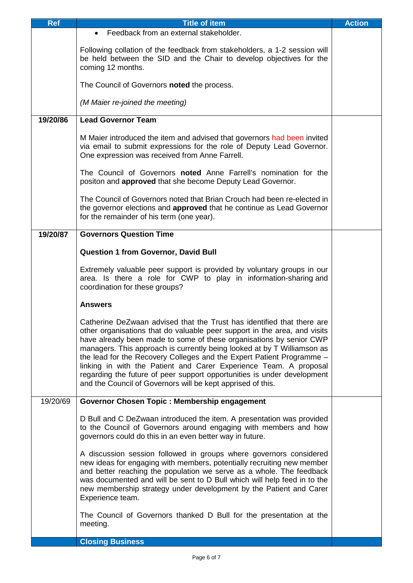| <b>Ref</b> | <b>Title of item</b>                                                                                                                                                                                                                                                                                                                                                                                                                                                                                                                                                                          | <b>Action</b> |
|------------|-----------------------------------------------------------------------------------------------------------------------------------------------------------------------------------------------------------------------------------------------------------------------------------------------------------------------------------------------------------------------------------------------------------------------------------------------------------------------------------------------------------------------------------------------------------------------------------------------|---------------|
|            | Feedback from an external stakeholder.                                                                                                                                                                                                                                                                                                                                                                                                                                                                                                                                                        |               |
|            | Following collation of the feedback from stakeholders, a 1-2 session will<br>be held between the SID and the Chair to develop objectives for the<br>coming 12 months.                                                                                                                                                                                                                                                                                                                                                                                                                         |               |
|            | The Council of Governors noted the process.                                                                                                                                                                                                                                                                                                                                                                                                                                                                                                                                                   |               |
|            | (M Maier re-joined the meeting)                                                                                                                                                                                                                                                                                                                                                                                                                                                                                                                                                               |               |
| 19/20/86   | <b>Lead Governor Team</b>                                                                                                                                                                                                                                                                                                                                                                                                                                                                                                                                                                     |               |
|            | M Maier introduced the item and advised that governors had been invited<br>via email to submit expressions for the role of Deputy Lead Governor.<br>One expression was received from Anne Farrell.                                                                                                                                                                                                                                                                                                                                                                                            |               |
|            | The Council of Governors noted Anne Farrell's nomination for the<br>positon and <b>approved</b> that she become Deputy Lead Governor.                                                                                                                                                                                                                                                                                                                                                                                                                                                         |               |
|            | The Council of Governors noted that Brian Crouch had been re-elected in<br>the governor elections and approved that he continue as Lead Governor<br>for the remainder of his term (one year).                                                                                                                                                                                                                                                                                                                                                                                                 |               |
| 19/20/87   | <b>Governors Question Time</b>                                                                                                                                                                                                                                                                                                                                                                                                                                                                                                                                                                |               |
|            | <b>Question 1 from Governor, David Bull</b>                                                                                                                                                                                                                                                                                                                                                                                                                                                                                                                                                   |               |
|            | Extremely valuable peer support is provided by voluntary groups in our<br>area. Is there a role for CWP to play in information-sharing and<br>coordination for these groups?                                                                                                                                                                                                                                                                                                                                                                                                                  |               |
|            | <b>Answers</b>                                                                                                                                                                                                                                                                                                                                                                                                                                                                                                                                                                                |               |
|            | Catherine DeZwaan advised that the Trust has identified that there are<br>other organisations that do valuable peer support in the area, and visits<br>have already been made to some of these organisations by senior CWP<br>managers. This approach is currently being looked at by T Williamson as<br>the lead for the Recovery Colleges and the Expert Patient Programme -<br>linking in with the Patient and Carer Experience Team. A proposal<br>regarding the future of peer support opportunities is under development<br>and the Council of Governors will be kept apprised of this. |               |
| 19/20/69   | Governor Chosen Topic: Membership engagement                                                                                                                                                                                                                                                                                                                                                                                                                                                                                                                                                  |               |
|            | D Bull and C DeZwaan introduced the item. A presentation was provided<br>to the Council of Governors around engaging with members and how<br>governors could do this in an even better way in future.                                                                                                                                                                                                                                                                                                                                                                                         |               |
|            | A discussion session followed in groups where governors considered<br>new ideas for engaging with members, potentially recruiting new member<br>and better reaching the population we serve as a whole. The feedback<br>was documented and will be sent to D Bull which will help feed in to the<br>new membership strategy under development by the Patient and Carer<br>Experience team.                                                                                                                                                                                                    |               |
|            | The Council of Governors thanked D Bull for the presentation at the<br>meeting.                                                                                                                                                                                                                                                                                                                                                                                                                                                                                                               |               |
|            | <b>Closing Business</b>                                                                                                                                                                                                                                                                                                                                                                                                                                                                                                                                                                       |               |